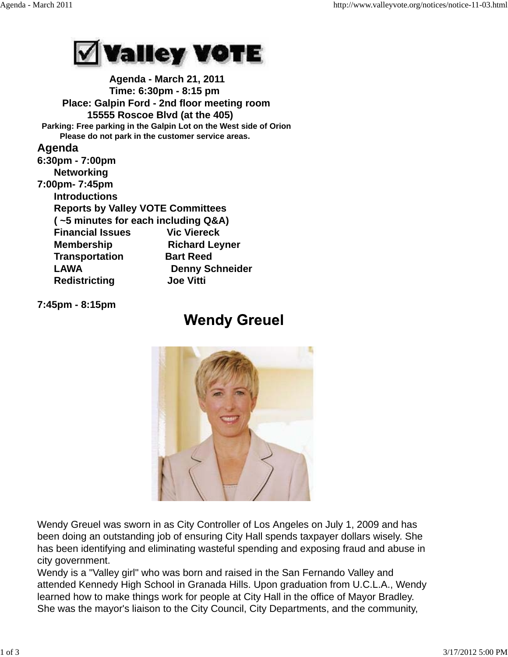

 **Agenda - March 21, 2011 Time: 6:30pm - 8:15 pm Place: Galpin Ford - 2nd floor meeting room 15555 Roscoe Blvd (at the 405) Parking: Free parking in the Galpin Lot on the West side of Orion Please do not park in the customer service areas. Agenda 6:30pm - 7:00pm Networking 7:00pm- 7:45pm Introductions Reports by Valley VOTE Committees ( ~5 minutes for each including Q&A) Financial Issues Vic Viereck Membership Richard Leyner Transportation Bart Reed** LAWA Denny Schneider  **Redistricting Joe Vitti**

**7:45pm - 8:15pm**

## **Wendy Greuel**



Wendy Greuel was sworn in as City Controller of Los Angeles on July 1, 2009 and has been doing an outstanding job of ensuring City Hall spends taxpayer dollars wisely. She has been identifying and eliminating wasteful spending and exposing fraud and abuse in city government.

Wendy is a "Valley girl" who was born and raised in the San Fernando Valley and attended Kennedy High School in Granada Hills. Upon graduation from U.C.L.A., Wendy learned how to make things work for people at City Hall in the office of Mayor Bradley. She was the mayor's liaison to the City Council, City Departments, and the community,